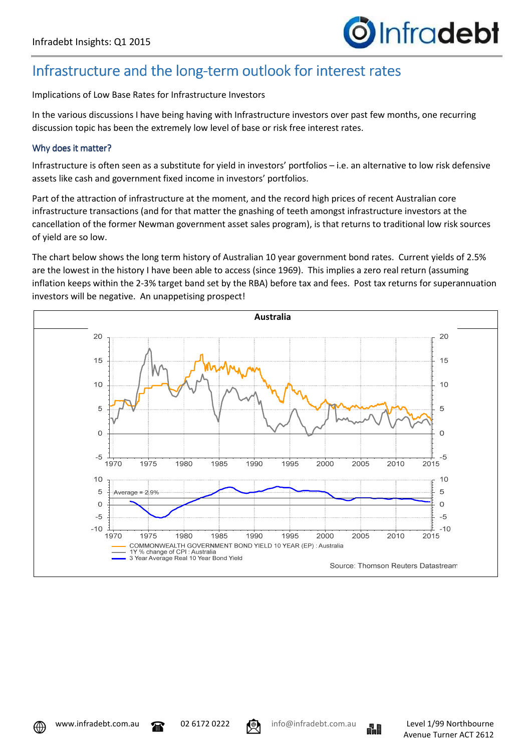### Infrastructure and the long-term outlook for interest rates

Implications of Low Base Rates for Infrastructure Investors

In the various discussions I have being having with Infrastructure investors over past few months, one recurring discussion topic has been the extremely low level of base or risk free interest rates.

### Why does it matter?

Infrastructure is often seen as a substitute for yield in investors' portfolios – i.e. an alternative to low risk defensive assets like cash and government fixed income in investors' portfolios.

Part of the attraction of infrastructure at the moment, and the record high prices of recent Australian core infrastructure transactions (and for that matter the gnashing of teeth amongst infrastructure investors at the cancellation of the former Newman government asset sales program), is that returns to traditional low risk sources of yield are so low.

The chart below shows the long term history of Australian 10 year government bond rates. Current yields of 2.5% are the lowest in the history I have been able to access (since 1969). This implies a zero real return (assuming inflation keeps within the 2-3% target band set by the RBA) before tax and fees. Post tax returns for superannuation investors will be negative. An unappetising prospect!





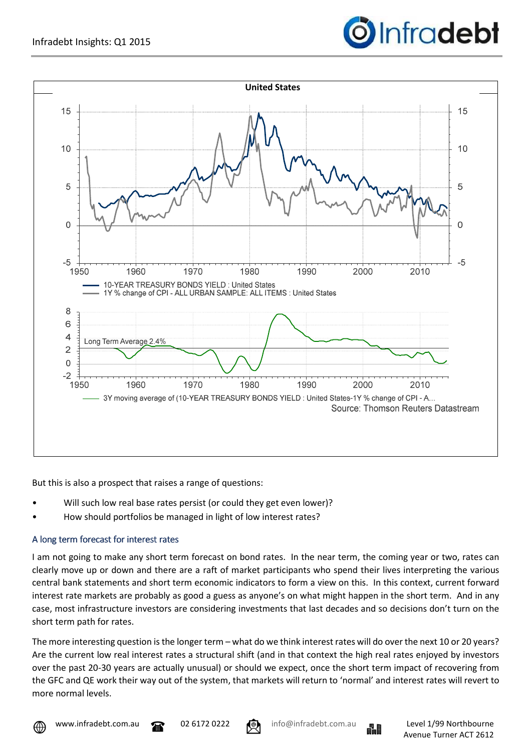



But this is also a prospect that raises a range of questions:

- Will such low real base rates persist (or could they get even lower)?
- How should portfolios be managed in light of low interest rates?

### A long term forecast for interest rates

I am not going to make any short term forecast on bond rates. In the near term, the coming year or two, rates can clearly move up or down and there are a raft of market participants who spend their lives interpreting the various central bank statements and short term economic indicators to form a view on this. In this context, current forward interest rate markets are probably as good a guess as anyone's on what might happen in the short term. And in any case, most infrastructure investors are considering investments that last decades and so decisions don't turn on the short term path for rates.

The more interesting question is the longer term – what do we think interest rates will do over the next 10 or 20 years? Are the current low real interest rates a structural shift (and in that context the high real rates enjoyed by investors over the past 20-30 years are actually unusual) or should we expect, once the short term impact of recovering from the GFC and QE work their way out of the system, that markets will return to 'normal' and interest rates will revert to more normal levels.





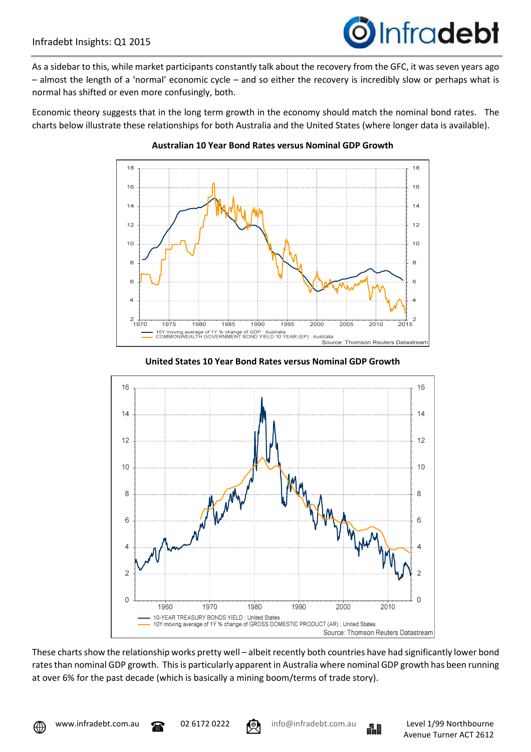# **O**Infradebt

As a sidebar to this, while market participants constantly talk about the recovery from the GFC, it was seven years ago – almost the length of a 'normal' economic cycle – and so either the recovery is incredibly slow or perhaps what is normal has shifted or even more confusingly, both.

Economic theory suggests that in the long term growth in the economy should match the nominal bond rates. The charts below illustrate these relationships for both Australia and the United States (where longer data is available).



#### **Australian 10 Year Bond Rates versus Nominal GDP Growth**





These charts show the relationship works pretty well – albeit recently both countries have had significantly lower bond rates than nominal GDP growth. This is particularly apparent in Australia where nominal GDP growth has been running at over 6% for the past decade (which is basically a mining boom/terms of trade story).

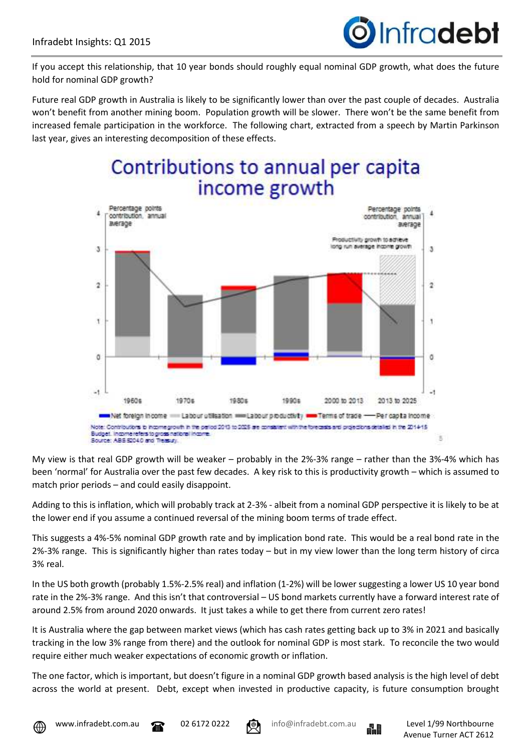

If you accept this relationship, that 10 year bonds should roughly equal nominal GDP growth, what does the future hold for nominal GDP growth?

Future real GDP growth in Australia is likely to be significantly lower than over the past couple of decades. Australia won't benefit from another mining boom. Population growth will be slower. There won't be the same benefit from increased female participation in the workforce. The following chart, extracted from a speech by Martin Parkinson last year, gives an interesting decomposition of these effects.

## Contributions to annual per capita income growth



My view is that real GDP growth will be weaker – probably in the 2%-3% range – rather than the 3%-4% which has been 'normal' for Australia over the past few decades. A key risk to this is productivity growth – which is assumed to match prior periods – and could easily disappoint.

Adding to this is inflation, which will probably track at 2-3% - albeit from a nominal GDP perspective it is likely to be at the lower end if you assume a continued reversal of the mining boom terms of trade effect.

This suggests a 4%-5% nominal GDP growth rate and by implication bond rate. This would be a real bond rate in the 2%-3% range. This is significantly higher than rates today – but in my view lower than the long term history of circa 3% real.

In the US both growth (probably 1.5%-2.5% real) and inflation (1-2%) will be lower suggesting a lower US 10 year bond rate in the 2%-3% range. And this isn't that controversial – US bond markets currently have a forward interest rate of around 2.5% from around 2020 onwards. It just takes a while to get there from current zero rates!

It is Australia where the gap between market views (which has cash rates getting back up to 3% in 2021 and basically tracking in the low 3% range from there) and the outlook for nominal GDP is most stark. To reconcile the two would require either much weaker expectations of economic growth or inflation.

The one factor, which is important, but doesn't figure in a nominal GDP growth based analysis is the high level of debt across the world at present. Debt, except when invested in productive capacity, is future consumption brought